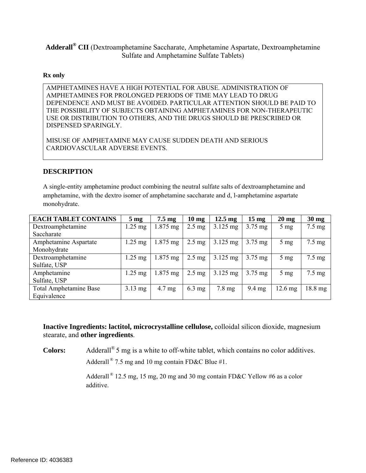# **Adderall® CII** (Dextroamphetamine Saccharate, Amphetamine Aspartate, Dextroamphetamine Sulfate and Amphetamine Sulfate Tablets)

## **Rx only**

AMPHETAMINES HAVE A HIGH POTENTIAL FOR ABUSE. ADMINISTRATION OF AMPHETAMINES FOR PROLONGED PERIODS OF TIME MAY LEAD TO DRUG DEPENDENCE AND MUST BE AVOIDED. PARTICULAR ATTENTION SHOULD BE PAID TO THE POSSIBILITY OF SUBJECTS OBTAINING AMPHETAMINES FOR NON-THERAPEUTIC USE OR DISTRIBUTION TO OTHERS, AND THE DRUGS SHOULD BE PRESCRIBED OR DISPENSED SPARINGLY.

MISUSE OF AMPHETAMINE MAY CAUSE SUDDEN DEATH AND SERIOUS CARDIOVASCULAR ADVERSE EVENTS.

# **DESCRIPTION**

A single-entity amphetamine product combining the neutral sulfate salts of dextroamphetamine and amphetamine, with the dextro isomer of amphetamine saccharate and d, l-amphetamine aspartate monohydrate.

| <b>EACH TABLET CONTAINS</b>   | $5 \,\mathrm{mg}$ | $7.5 \text{ mg}$   | $10 \text{ mg}$  | $12.5 \text{ mg}$  | $15 \text{ mg}$  | $20 \text{ mg}$   | $30 \text{ mg}$   |
|-------------------------------|-------------------|--------------------|------------------|--------------------|------------------|-------------------|-------------------|
| Dextroamphetamine             | $1.25$ mg         | 1.875 mg           | $2.5 \text{ mg}$ | $3.125 \text{ mg}$ | $3.75$ mg        | $5 \text{ mg}$    | $7.5 \text{ mg}$  |
| Saccharate                    |                   |                    |                  |                    |                  |                   |                   |
| Amphetamine Aspartate         | $1.25$ mg         | $1.875 \text{ mg}$ | $2.5 \text{ mg}$ | $3.125 \text{ mg}$ | $3.75$ mg        | $5 \text{ mg}$    | $7.5 \text{ mg}$  |
| Monohydrate                   |                   |                    |                  |                    |                  |                   |                   |
| Dextroamphetamine             | $.25 \text{ mg}$  | $1.875$ mg         | $2.5 \text{ mg}$ | $3.125 \text{ mg}$ | $3.75$ mg        | $5 \text{ mg}$    | $7.5 \text{ mg}$  |
| Sulfate, USP                  |                   |                    |                  |                    |                  |                   |                   |
| Amphetamine                   | $1.25 \text{ mg}$ | $1.875$ mg         | $2.5 \text{ mg}$ | $3.125$ mg         | $3.75$ mg        | $5 \text{ mg}$    | $7.5 \text{ mg}$  |
| Sulfate, USP                  |                   |                    |                  |                    |                  |                   |                   |
| <b>Total Amphetamine Base</b> | $3.13 \text{ mg}$ | $4.7 \text{ mg}$   | $6.3 \text{ mg}$ | $7.8 \text{ mg}$   | $9.4 \text{ mg}$ | $12.6 \text{ mg}$ | $18.8 \text{ mg}$ |
| Equivalence                   |                   |                    |                  |                    |                  |                   |                   |

**Inactive Ingredients: lactitol, microcrystalline cellulose,** colloidal silicon dioxide, magnesium stearate, and **other ingredients**.

**Colors:** Adderall® 5 mg is a white to off-white tablet, which contains no color additives.

Adderall  $^{\circ}$  7.5 mg and 10 mg contain FD&C Blue #1.

Adderall  $^{\circ}$  12.5 mg, 15 mg, 20 mg and 30 mg contain FD&C Yellow #6 as a color additive.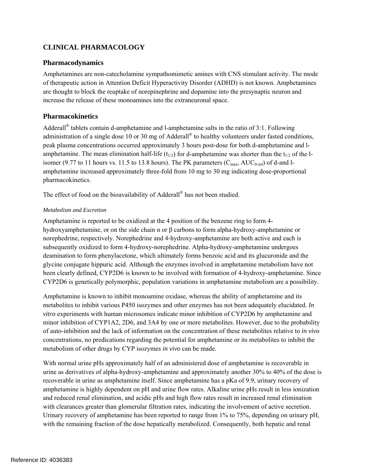# **CLINICAL PHARMACOLOGY**

# **Pharmacodynamics**

Amphetamines are non-catecholamine sympathomimetic amines with CNS stimulant activity. The mode of therapeutic action in Attention Deficit Hyperactivity Disorder (ADHD) is not known. Amphetamines are thought to block the reuptake of norepinephrine and dopamine into the presynaptic neuron and increase the release of these monoamines into the extraneuronal space.

# **Pharmacokinetics**

Adderall<sup>®</sup> tablets contain d-amphetamine and l-amphetamine salts in the ratio of 3:1. Following administration of a single dose 10 or 30 mg of Adderall<sup>®</sup> to healthy volunteers under fasted conditions, peak plasma concentrations occurred approximately 3 hours post-dose for both d-amphetamine and lamphetamine. The mean elimination half-life ( $t_{1/2}$ ) for d-amphetamine was shorter than the  $t_{1/2}$  of the lisomer (9.77 to 11 hours vs. 11.5 to 13.8 hours). The PK parameters ( $C_{\text{max}}$ , AU $C_{0\text{-inf}}$ ) of d-and lamphetamine increased approximately three-fold from 10 mg to 30 mg indicating dose-proportional pharmacokinetics.

The effect of food on the bioavailability of Adderall<sup>®</sup> has not been studied.

### *Metabolism and Excretion*

Amphetamine is reported to be oxidized at the 4 position of the benzene ring to form 4 hydroxyamphetamine, or on the side chain α or β carbons to form alpha-hydroxy-amphetamine or norephedrine, respectively. Norephedrine and 4-hydroxy-amphetamine are both active and each is subsequently oxidized to form 4-hydroxy-norephedrine. Alpha-hydroxy-amphetamine undergoes deamination to form phenylacetone, which ultimately forms benzoic acid and its glucuronide and the glycine conjugate hippuric acid. Although the enzymes involved in amphetamine metabolism have not been clearly defined, CYP2D6 is known to be involved with formation of 4-hydroxy-amphetamine. Since CYP2D6 is genetically polymorphic, population variations in amphetamine metabolism are a possibility.

Amphetamine is known to inhibit monoamine oxidase, whereas the ability of amphetamine and its metabolites to inhibit various P450 isozymes and other enzymes has not been adequately elucidated. *In vitro* experiments with human microsomes indicate minor inhibition of CYP2D6 by amphetamine and minor inhibition of CYP1A2, 2D6, and 3A4 by one or more metabolites. However, due to the probability of auto-inhibition and the lack of information on the concentration of these metabolites relative to *in vivo*  concentrations, no predications regarding the potential for amphetamine or its metabolites to inhibit the metabolism of other drugs by CYP isozymes *in vivo* can be made.

With normal urine pHs approximately half of an administered dose of amphetamine is recoverable in urine as derivatives of alpha-hydroxy-amphetamine and approximately another 30% to 40% of the dose is recoverable in urine as amphetamine itself. Since amphetamine has a pKa of 9.9, urinary recovery of amphetamine is highly dependent on pH and urine flow rates. Alkaline urine pHs result in less ionization and reduced renal elimination, and acidic pHs and high flow rates result in increased renal elimination with clearances greater than glomerular filtration rates, indicating the involvement of active secretion. Urinary recovery of amphetamine has been reported to range from 1% to 75%, depending on urinary pH, with the remaining fraction of the dose hepatically metabolized. Consequently, both hepatic and renal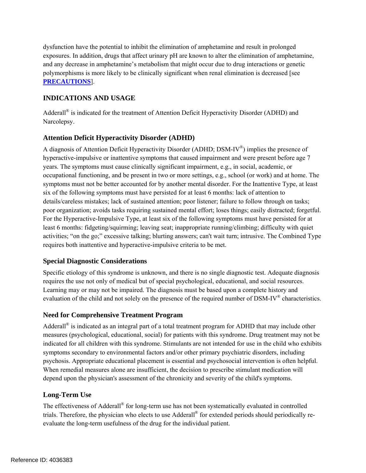**PRECAUTIONS**]. dysfunction have the potential to inhibit the elimination of amphetamine and result in prolonged exposures. In addition, drugs that affect urinary pH are known to alter the elimination of amphetamine, and any decrease in amphetamine's metabolism that might occur due to drug interactions or genetic polymorphisms is more likely to be clinically significant when renal elimination is decreased [see

# **INDICATIONS AND USAGE**

Adderall® is indicated for the treatment of Attention Deficit Hyperactivity Disorder (ADHD) and Narcolepsy.

# **Attention Deficit Hyperactivity Disorder (ADHD)**

A diagnosis of Attention Deficit Hyperactivity Disorder (ADHD; DSM-IV®) implies the presence of hyperactive-impulsive or inattentive symptoms that caused impairment and were present before age 7 years. The symptoms must cause clinically significant impairment, e.g., in social, academic, or occupational functioning, and be present in two or more settings, e.g., school (or work) and at home. The symptoms must not be better accounted for by another mental disorder. For the Inattentive Type, at least six of the following symptoms must have persisted for at least 6 months: lack of attention to details/careless mistakes; lack of sustained attention; poor listener; failure to follow through on tasks; poor organization; avoids tasks requiring sustained mental effort; loses things; easily distracted; forgetful. For the Hyperactive-Impulsive Type, at least six of the following symptoms must have persisted for at least 6 months: fidgeting/squirming; leaving seat; inappropriate running/climbing; difficulty with quiet activities; "on the go;" excessive talking; blurting answers; can't wait turn; intrusive. The Combined Type requires both inattentive and hyperactive-impulsive criteria to be met.

# **Special Diagnostic Considerations**

Specific etiology of this syndrome is unknown, and there is no single diagnostic test. Adequate diagnosis requires the use not only of medical but of special psychological, educational, and social resources. Learning may or may not be impaired. The diagnosis must be based upon a complete history and evaluation of the child and not solely on the presence of the required number of DSM-IV® characteristics.

# **Need for Comprehensive Treatment Program**

Adderall<sup>®</sup> is indicated as an integral part of a total treatment program for ADHD that may include other measures (psychological, educational, social) for patients with this syndrome. Drug treatment may not be indicated for all children with this syndrome. Stimulants are not intended for use in the child who exhibits symptoms secondary to environmental factors and/or other primary psychiatric disorders, including psychosis. Appropriate educational placement is essential and psychosocial intervention is often helpful. When remedial measures alone are insufficient, the decision to prescribe stimulant medication will depend upon the physician's assessment of the chronicity and severity of the child's symptoms.

# **Long-Term Use**

The effectiveness of Adderall<sup>®</sup> for long-term use has not been systematically evaluated in controlled trials. Therefore, the physician who elects to use Adderall® for extended periods should periodically reevaluate the long-term usefulness of the drug for the individual patient.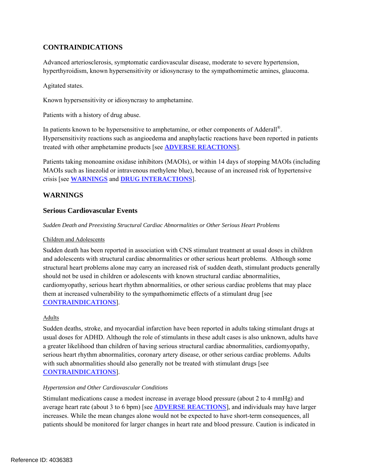# **CONTRAINDICATIONS**

Advanced arteriosclerosis, symptomatic cardiovascular disease, moderate to severe hypertension, hyperthyroidism, known hypersensitivity or idiosyncrasy to the sympathomimetic amines, glaucoma.

Agitated states.

Known hypersensitivity or idiosyncrasy to amphetamine.

Patients with a history of drug abuse.

In patients known to be hypersensitive to amphetamine, or other components of Adderall®. Hypersensitivity reactions such as angioedema and anaphylactic reactions have been reported in patients treated with other amphetamine products [see **ADVERSE REACTIONS**].

Patients taking monoamine oxidase inhibitors (MAOIs), or within 14 days of stopping MAOIs (including MAOIs such as linezolid or intravenous methylene blue), because of an increased risk of hypertensive crisis [see **WARNINGS** and **DRUG INTERACTIONS**].

# **WARNINGS**

# **Serious Cardiovascular Events**

*Sudden Death and Preexisting Structural Cardiac Abnormalities or Other Serious Heart Problems* 

#### Children and Adolescents

Sudden death has been reported in association with CNS stimulant treatment at usual doses in children and adolescents with structural cardiac abnormalities or other serious heart problems. Although some structural heart problems alone may carry an increased risk of sudden death, stimulant products generally should not be used in children or adolescents with known structural cardiac abnormalities, cardiomyopathy, serious heart rhythm abnormalities, or other serious cardiac problems that may place them at increased vulnerability to the sympathomimetic effects of a stimulant drug [see **CONTRAINDICATIONS**].

#### Adults

Sudden deaths, stroke, and myocardial infarction have been reported in adults taking stimulant drugs at usual doses for ADHD. Although the role of stimulants in these adult cases is also unknown, adults have a greater likelihood than children of having serious structural cardiac abnormalities, cardiomyopathy, serious heart rhythm abnormalities, coronary artery disease, or other serious cardiac problems. Adults with such abnormalities should also generally not be treated with stimulant drugs [see **CONTRAINDICATIONS**].

#### *Hypertension and Other Cardiovascular Conditions*

Stimulant medications cause a modest increase in average blood pressure (about 2 to 4 mmHg) and average heart rate (about 3 to 6 bpm) [see **ADVERSE REACTIONS**], and individuals may have larger increases. While the mean changes alone would not be expected to have short-term consequences, all patients should be monitored for larger changes in heart rate and blood pressure. Caution is indicated in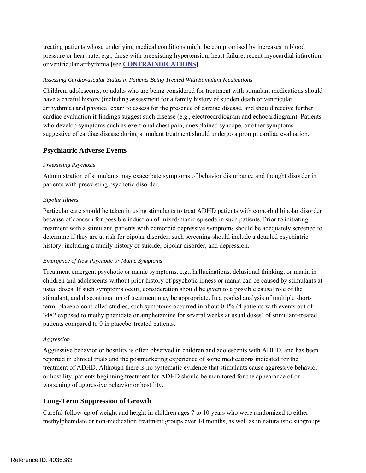treating patients whose underlying medical conditions might be compromised by increases in blood pressure or heart rate, e.g., those with preexisting hypertension, heart failure, recent myocardial infarction, or ventricular arrhythmia [see **CONTRAINDICATIONS**].

### *Assessing Cardiovascular Status in Patients Being Treated With Stimulant Medications*

Children, adolescents, or adults who are being considered for treatment with stimulant medications should have a careful history (including assessment for a family history of sudden death or ventricular arrhythmia) and physical exam to assess for the presence of cardiac disease, and should receive further cardiac evaluation if findings suggest such disease (e.g., electrocardiogram and echocardiogram). Patients who develop symptoms such as exertional chest pain, unexplained syncope, or other symptoms suggestive of cardiac disease during stimulant treatment should undergo a prompt cardiac evaluation.

# **Psychiatric Adverse Events**

### *Preexisting Psychosis*

Administration of stimulants may exacerbate symptoms of behavior disturbance and thought disorder in patients with preexisting psychotic disorder.

### *Bipolar Illness*

Particular care should be taken in using stimulants to treat ADHD patients with comorbid bipolar disorder because of concern for possible induction of mixed/manic episode in such patients. Prior to initiating treatment with a stimulant, patients with comorbid depressive symptoms should be adequately screened to determine if they are at risk for bipolar disorder; such screening should include a detailed psychiatric history, including a family history of suicide, bipolar disorder, and depression.

#### *Emergence of New Psychotic or Manic Symptoms*

Treatment emergent psychotic or manic symptoms, e.g., hallucinations, delusional thinking, or mania in children and adolescents without prior history of psychotic illness or mania can be caused by stimulants at usual doses. If such symptoms occur, consideration should be given to a possible causal role of the stimulant, and discontinuation of treatment may be appropriate. In a pooled analysis of multiple shortterm, placebo-controlled studies, such symptoms occurred in about 0.1% (4 patients with events out of 3482 exposed to methylphenidate or amphetamine for several weeks at usual doses) of stimulant-treated patients compared to 0 in placebo-treated patients.

#### *Aggression*

Aggressive behavior or hostility is often observed in children and adolescents with ADHD, and has been reported in clinical trials and the postmarketing experience of some medications indicated for the treatment of ADHD. Although there is no systematic evidence that stimulants cause aggressive behavior or hostility, patients beginning treatment for ADHD should be monitored for the appearance of or worsening of aggressive behavior or hostility.

## **Long-Term Suppression of Growth**

Careful follow-up of weight and height in children ages 7 to 10 years who were randomized to either methylphenidate or non-medication treatment groups over 14 months, as well as in naturalistic subgroups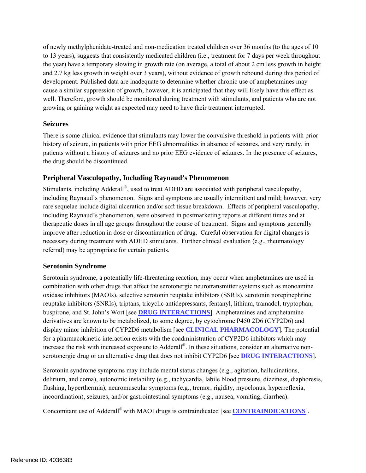of newly methylphenidate-treated and non-medication treated children over 36 months (to the ages of 10 to 13 years), suggests that consistently medicated children (i.e., treatment for 7 days per week throughout the year) have a temporary slowing in growth rate (on average, a total of about 2 cm less growth in height and 2.7 kg less growth in weight over 3 years), without evidence of growth rebound during this period of development. Published data are inadequate to determine whether chronic use of amphetamines may cause a similar suppression of growth, however, it is anticipated that they will likely have this effect as well. Therefore, growth should be monitored during treatment with stimulants, and patients who are not growing or gaining weight as expected may need to have their treatment interrupted.

# **Seizures**

There is some clinical evidence that stimulants may lower the convulsive threshold in patients with prior history of seizure, in patients with prior EEG abnormalities in absence of seizures, and very rarely, in patients without a history of seizures and no prior EEG evidence of seizures. In the presence of seizures, the drug should be discontinued.

# **Peripheral Vasculopathy, Including Raynaud's Phenomenon**

 therapeutic doses in all age groups throughout the course of treatment. Signs and symptoms generally Stimulants, including Adderall®, used to treat ADHD are associated with peripheral vasculopathy, including Raynaud's phenomenon. Signs and symptoms are usually intermittent and mild; however, very rare sequelae include digital ulceration and/or soft tissue breakdown. Effects of peripheral vasculopathy, including Raynaud's phenomenon, were observed in postmarketing reports at different times and at improve after reduction in dose or discontinuation of drug. Careful observation for digital changes is necessary during treatment with ADHD stimulants. Further clinical evaluation (e.g., rheumatology referral) may be appropriate for certain patients.

## **Serotonin Syndrome**

Serotonin syndrome, a potentially life-threatening reaction, may occur when amphetamines are used in combination with other drugs that affect the serotonergic neurotransmitter systems such as monoamine oxidase inhibitors (MAOIs), selective serotonin reuptake inhibitors (SSRIs), serotonin norepinephrine reuptake inhibitors (SNRIs), triptans, tricyclic antidepressants, fentanyl, lithium, tramadol, tryptophan, buspirone, and St. John's Wort [see **DRUG INTERACTIONS**]. Amphetamines and amphetamine derivatives are known to be metabolized, to some degree, by cytochrome P450 2D6 (CYP2D6) and display minor inhibition of CYP2D6 metabolism [see **CLINICAL PHARMACOLOGY**]. The potential for a pharmacokinetic interaction exists with the coadministration of CYP2D6 inhibitors which may increase the risk with increased exposure to Adderall®. In these situations, consider an alternative nonserotonergic drug or an alternative drug that does not inhibit CYP2D6 [see **DRUG INTERACTIONS**].

Serotonin syndrome symptoms may include mental status changes (e.g., agitation, hallucinations, delirium, and coma), autonomic instability (e.g., tachycardia, labile blood pressure, dizziness, diaphoresis, flushing, hyperthermia), neuromuscular symptoms (e.g., tremor, rigidity, myoclonus, hyperreflexia, incoordination), seizures, and/or gastrointestinal symptoms (e.g., nausea, vomiting, diarrhea).

Concomitant use of Adderall® with MAOI drugs is contraindicated [see **CONTRAINDICATIONS**].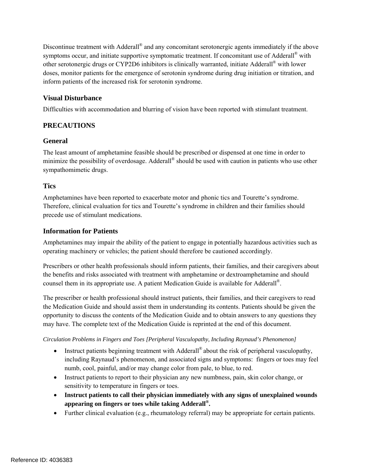Discontinue treatment with Adderall® and any concomitant serotonergic agents immediately if the above symptoms occur, and initiate supportive symptomatic treatment. If concomitant use of Adderall<sup>®</sup> with other serotonergic drugs or CYP2D6 inhibitors is clinically warranted, initiate Adderall® with lower doses, monitor patients for the emergence of serotonin syndrome during drug initiation or titration, and inform patients of the increased risk for serotonin syndrome.

# **Visual Disturbance**

Difficulties with accommodation and blurring of vision have been reported with stimulant treatment.

# **PRECAUTIONS**

## **General**

The least amount of amphetamine feasible should be prescribed or dispensed at one time in order to minimize the possibility of overdosage. Adderall® should be used with caution in patients who use other sympathomimetic drugs.

# **Tics**

Amphetamines have been reported to exacerbate motor and phonic tics and Tourette's syndrome. Therefore, clinical evaluation for tics and Tourette's syndrome in children and their families should precede use of stimulant medications.

# **Information for Patients**

Amphetamines may impair the ability of the patient to engage in potentially hazardous activities such as operating machinery or vehicles; the patient should therefore be cautioned accordingly.

Prescribers or other health professionals should inform patients, their families, and their caregivers about the benefits and risks associated with treatment with amphetamine or dextroamphetamine and should counsel them in its appropriate use. A patient Medication Guide is available for Adderall®.

The prescriber or health professional should instruct patients, their families, and their caregivers to read the Medication Guide and should assist them in understanding its contents. Patients should be given the opportunity to discuss the contents of the Medication Guide and to obtain answers to any questions they may have. The complete text of the Medication Guide is reprinted at the end of this document.

*Circulation Problems in Fingers and Toes [Peripheral Vasculopathy, Including Raynaud's Phenomenon]* 

- Instruct patients beginning treatment with Adderall<sup>®</sup> about the risk of peripheral vasculopathy, including Raynaud's phenomenon, and associated signs and symptoms: fingers or toes may feel numb, cool, painful, and/or may change color from pale, to blue, to red.
- Instruct patients to report to their physician any new numbness, pain, skin color change, or sensitivity to temperature in fingers or toes.
- **Instruct patients to call their physician immediately with any signs of unexplained wounds appearing on fingers or toes while taking Adderall®.**
- Further clinical evaluation (e.g., rheumatology referral) may be appropriate for certain patients.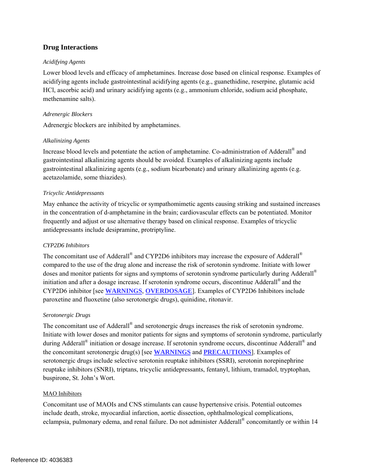# **Drug Interactions**

### *Acidifying Agents*

Lower blood levels and efficacy of amphetamines. Increase dose based on clinical response. Examples of acidifying agents include gastrointestinal acidifying agents (e.g., guanethidine, reserpine, glutamic acid HCl, ascorbic acid) and urinary acidifying agents (e.g., ammonium chloride, sodium acid phosphate, methenamine salts).

#### *Adrenergic Blockers*

Adrenergic blockers are inhibited by amphetamines.

### *Alkalinizing Agents*

Increase blood levels and potentiate the action of amphetamine. Co-administration of Adderall® and gastrointestinal alkalinizing agents should be avoided. Examples of alkalinizing agents include gastrointestinal alkalinizing agents (e.g., sodium bicarbonate) and urinary alkalinizing agents (e.g. acetazolamide, some thiazides).

### *Tricyclic Antidepressants*

May enhance the activity of tricyclic or sympathomimetic agents causing striking and sustained increases in the concentration of d-amphetamine in the brain; cardiovascular effects can be potentiated. Monitor frequently and adjust or use alternative therapy based on clinical response. Examples of tricyclic antidepressants include desipramine, protriptyline.

#### *CYP2D6 Inhibitors*

The concomitant use of Adderall<sup>®</sup> and CYP2D6 inhibitors may increase the exposure of Adderall<sup>®</sup> compared to the use of the drug alone and increase the risk of serotonin syndrome. Initiate with lower doses and monitor patients for signs and symptoms of serotonin syndrome particularly during Adderall® initiation and after a dosage increase. If serotonin syndrome occurs, discontinue Adderall® and the CYP2D6 inhibitor [see **WARNINGS**, **OVERDOSAGE**]. Examples of CYP2D6 Inhibitors include paroxetine and fluoxetine (also serotonergic drugs), quinidine, ritonavir.

#### *Serotonergic Drugs*

The concomitant use of Adderall<sup>®</sup> and serotonergic drugs increases the risk of serotonin syndrome. Initiate with lower doses and monitor patients for signs and symptoms of serotonin syndrome, particularly during Adderall® initiation or dosage increase. If serotonin syndrome occurs, discontinue Adderall® and the concomitant serotonergic drug(s) [see **WARNINGS** and **PRECAUTIONS**]. Examples of serotonergic drugs include selective serotonin reuptake inhibitors (SSRI), serotonin norepinephrine reuptake inhibitors (SNRI), triptans, tricyclic antidepressants, fentanyl, lithium, tramadol, tryptophan, buspirone, St. John's Wort.

#### MAO Inhibitors

Concomitant use of MAOIs and CNS stimulants can cause hypertensive crisis. Potential outcomes include death, stroke, myocardial infarction, aortic dissection, ophthalmological complications, eclampsia, pulmonary edema, and renal failure. Do not administer Adderall® concomitantly or within 14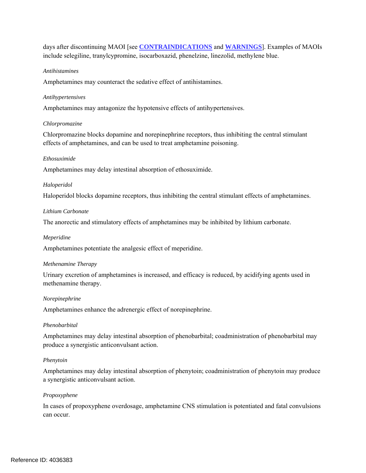days after discontinuing MAOI [see **CONTRAINDICATIONS** and **WARNINGS**]. Examples of MAOIs include selegiline, tranylcypromine, isocarboxazid, phenelzine, linezolid, methylene blue.

#### *Antihistamines*

Amphetamines may counteract the sedative effect of antihistamines.

#### *Antihypertensives*

Amphetamines may antagonize the hypotensive effects of antihypertensives.

#### *Chlorpromazine*

Chlorpromazine blocks dopamine and norepinephrine receptors, thus inhibiting the central stimulant effects of amphetamines, and can be used to treat amphetamine poisoning.

#### *Ethosuximide*

Amphetamines may delay intestinal absorption of ethosuximide.

#### *Haloperidol*

Haloperidol blocks dopamine receptors, thus inhibiting the central stimulant effects of amphetamines.

#### *Lithium Carbonate*

The anorectic and stimulatory effects of amphetamines may be inhibited by lithium carbonate.

#### *Meperidine*

Amphetamines potentiate the analgesic effect of meperidine.

#### *Methenamine Therapy*

Urinary excretion of amphetamines is increased, and efficacy is reduced, by acidifying agents used in methenamine therapy.

#### *Norepinephrine*

Amphetamines enhance the adrenergic effect of norepinephrine.

#### *Phenobarbital*

Amphetamines may delay intestinal absorption of phenobarbital; coadministration of phenobarbital may produce a synergistic anticonvulsant action.

#### *Phenytoin*

Amphetamines may delay intestinal absorption of phenytoin; coadministration of phenytoin may produce a synergistic anticonvulsant action.

#### *Propoxyphene*

In cases of propoxyphene overdosage, amphetamine CNS stimulation is potentiated and fatal convulsions can occur.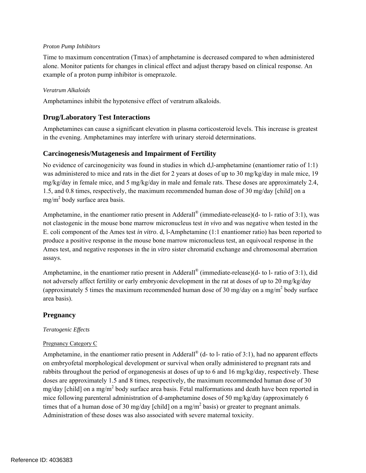#### *Proton Pump Inhibitors*

Time to maximum concentration (Tmax) of amphetamine is decreased compared to when administered alone. Monitor patients for changes in clinical effect and adjust therapy based on clinical response. An example of a proton pump inhibitor is omeprazole.

#### *Veratrum Alkaloids*

Amphetamines inhibit the hypotensive effect of veratrum alkaloids.

## **Drug/Laboratory Test Interactions**

Amphetamines can cause a significant elevation in plasma corticosteroid levels. This increase is greatest in the evening. Amphetamines may interfere with urinary steroid determinations.

### **Carcinogenesis/Mutagenesis and Impairment of Fertility**

No evidence of carcinogenicity was found in studies in which d,l-amphetamine (enantiomer ratio of 1:1) was administered to mice and rats in the diet for 2 years at doses of up to 30 mg/kg/day in male mice, 19 mg/kg/day in female mice, and 5 mg/kg/day in male and female rats. These doses are approximately 2.4, 1.5, and 0.8 times, respectively, the maximum recommended human dose of 30 mg/day [child] on a mg/m<sup>2</sup> body surface area basis.

Amphetamine, in the enantiomer ratio present in Adderall® (immediate-release)(d- to l- ratio of 3:1), was not clastogenic in the mouse bone marrow micronucleus test *in vivo* and was negative when tested in the E. coli component of the Ames test *in vitro*. d, l-Amphetamine (1:1 enantiomer ratio) has been reported to produce a positive response in the mouse bone marrow micronucleus test, an equivocal response in the Ames test, and negative responses in the in *vitro* sister chromatid exchange and chromosomal aberration assays.

Amphetamine, in the enantiomer ratio present in Adderall® (immediate-release)(d- to l- ratio of 3:1), did not adversely affect fertility or early embryonic development in the rat at doses of up to 20 mg/kg/day (approximately 5 times the maximum recommended human dose of 30 mg/day on a mg/m<sup>2</sup> body surface area basis).

#### **Pregnancy**

#### *Teratogenic Effects*

#### Pregnancy Category C

Amphetamine, in the enantiomer ratio present in Adderall<sup>®</sup> (d- to l- ratio of 3:1), had no apparent effects on embryofetal morphological development or survival when orally administered to pregnant rats and rabbits throughout the period of organogenesis at doses of up to 6 and 16 mg/kg/day, respectively. These doses are approximately 1.5 and 8 times, respectively, the maximum recommended human dose of 30 mg/day [child] on a mg/m<sup>2</sup> body surface area basis. Fetal malformations and death have been reported in mice following parenteral administration of d-amphetamine doses of 50 mg/kg/day (approximately 6 times that of a human dose of 30 mg/day [child] on a mg/m<sup>2</sup> basis) or greater to pregnant animals. Administration of these doses was also associated with severe maternal toxicity.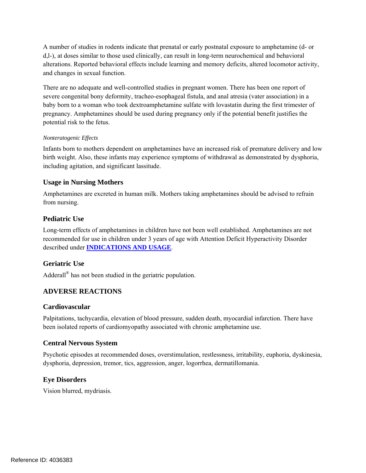A number of studies in rodents indicate that prenatal or early postnatal exposure to amphetamine (d- or d,l-), at doses similar to those used clinically, can result in long-term neurochemical and behavioral alterations. Reported behavioral effects include learning and memory deficits, altered locomotor activity, and changes in sexual function.

There are no adequate and well-controlled studies in pregnant women. There has been one report of severe congenital bony deformity, tracheo-esophageal fistula, and anal atresia (vater association) in a baby born to a woman who took dextroamphetamine sulfate with lovastatin during the first trimester of pregnancy. Amphetamines should be used during pregnancy only if the potential benefit justifies the potential risk to the fetus.

### *Nonteratogenic Effects*

Infants born to mothers dependent on amphetamines have an increased risk of premature delivery and low birth weight. Also, these infants may experience symptoms of withdrawal as demonstrated by dysphoria, including agitation, and significant lassitude.

# **Usage in Nursing Mothers**

Amphetamines are excreted in human milk. Mothers taking amphetamines should be advised to refrain from nursing.

# **Pediatric Use**

Long-term effects of amphetamines in children have not been well established. Amphetamines are not recommended for use in children under 3 years of age with Attention Deficit Hyperactivity Disorder described under **INDICATIONS AND USAGE**.

# **Geriatric Use**

Adderall® has not been studied in the geriatric population.

# **ADVERSE REACTIONS**

## **Cardiovascular**

Palpitations, tachycardia, elevation of blood pressure, sudden death, myocardial infarction. There have been isolated reports of cardiomyopathy associated with chronic amphetamine use.

# **Central Nervous System**

Psychotic episodes at recommended doses, overstimulation, restlessness, irritability, euphoria, dyskinesia, dysphoria, depression, tremor, tics, aggression, anger, logorrhea, dermatillomania.

# **Eye Disorders**

Vision blurred, mydriasis.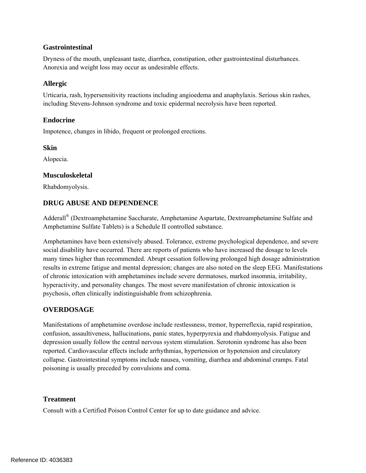# **Gastrointestinal**

Dryness of the mouth, unpleasant taste, diarrhea, constipation, other gastrointestinal disturbances. Anorexia and weight loss may occur as undesirable effects.

# **Allergic**

Urticaria, rash, hypersensitivity reactions including angioedema and anaphylaxis. Serious skin rashes, including Stevens-Johnson syndrome and toxic epidermal necrolysis have been reported.

# **Endocrine**

Impotence, changes in libido, frequent or prolonged erections.

### **Skin**

Alopecia.

### **Musculoskeletal**

Rhabdomyolysis.

# **DRUG ABUSE AND DEPENDENCE**

Adderall® (Dextroamphetamine Saccharate, Amphetamine Aspartate, Dextroamphetamine Sulfate and Amphetamine Sulfate Tablets) is a Schedule II controlled substance.

Amphetamines have been extensively abused. Tolerance, extreme psychological dependence, and severe social disability have occurred. There are reports of patients who have increased the dosage to levels many times higher than recommended. Abrupt cessation following prolonged high dosage administration results in extreme fatigue and mental depression; changes are also noted on the sleep EEG. Manifestations of chronic intoxication with amphetamines include severe dermatoses, marked insomnia, irritability, hyperactivity, and personality changes. The most severe manifestation of chronic intoxication is psychosis, often clinically indistinguishable from schizophrenia.

# **OVERDOSAGE**

Manifestations of amphetamine overdose include restlessness, tremor, hyperreflexia, rapid respiration, confusion, assaultiveness, hallucinations, panic states, hyperpyrexia and rhabdomyolysis. Fatigue and depression usually follow the central nervous system stimulation. Serotonin syndrome has also been reported. Cardiovascular effects include arrhythmias, hypertension or hypotension and circulatory collapse. Gastrointestinal symptoms include nausea, vomiting, diarrhea and abdominal cramps. Fatal poisoning is usually preceded by convulsions and coma.

## **Treatment**

Consult with a Certified Poison Control Center for up to date guidance and advice.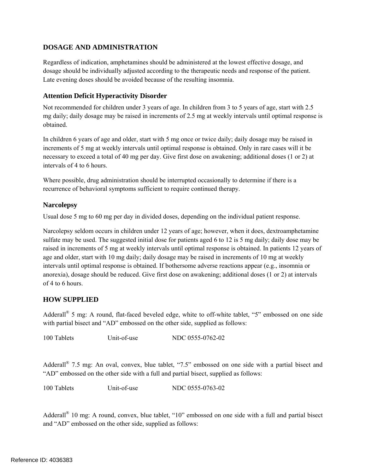# **DOSAGE AND ADMINISTRATION**

Regardless of indication, amphetamines should be administered at the lowest effective dosage, and dosage should be individually adjusted according to the therapeutic needs and response of the patient. Late evening doses should be avoided because of the resulting insomnia.

# **Attention Deficit Hyperactivity Disorder**

Not recommended for children under 3 years of age. In children from 3 to 5 years of age, start with 2.5 mg daily; daily dosage may be raised in increments of 2.5 mg at weekly intervals until optimal response is obtained.

In children 6 years of age and older, start with 5 mg once or twice daily; daily dosage may be raised in increments of 5 mg at weekly intervals until optimal response is obtained. Only in rare cases will it be necessary to exceed a total of 40 mg per day. Give first dose on awakening; additional doses (1 or 2) at intervals of 4 to 6 hours.

Where possible, drug administration should be interrupted occasionally to determine if there is a recurrence of behavioral symptoms sufficient to require continued therapy.

## **Narcolepsy**

Usual dose 5 mg to 60 mg per day in divided doses, depending on the individual patient response.

Narcolepsy seldom occurs in children under 12 years of age; however, when it does, dextroamphetamine sulfate may be used. The suggested initial dose for patients aged 6 to 12 is 5 mg daily; daily dose may be raised in increments of 5 mg at weekly intervals until optimal response is obtained. In patients 12 years of age and older, start with 10 mg daily; daily dosage may be raised in increments of 10 mg at weekly intervals until optimal response is obtained. If bothersome adverse reactions appear (e.g., insomnia or anorexia), dosage should be reduced. Give first dose on awakening; additional doses (1 or 2) at intervals of 4 to 6 hours.

# **HOW SUPPLIED**

Adderall® 5 mg: A round, flat-faced beveled edge, white to off-white tablet, "5" embossed on one side with partial bisect and "AD" embossed on the other side, supplied as follows:

100 Tablets  $1\text{Init-of-use}$  NDC 0555-0762-02

Adderall® 7.5 mg: An oval, convex, blue tablet, "7.5" embossed on one side with a partial bisect and "AD" embossed on the other side with a full and partial bisect, supplied as follows:

100 Tablets Unit-of-use NDC 0555-0763-02

Adderall® 10 mg: A round, convex, blue tablet, "10" embossed on one side with a full and partial bisect and "AD" embossed on the other side, supplied as follows: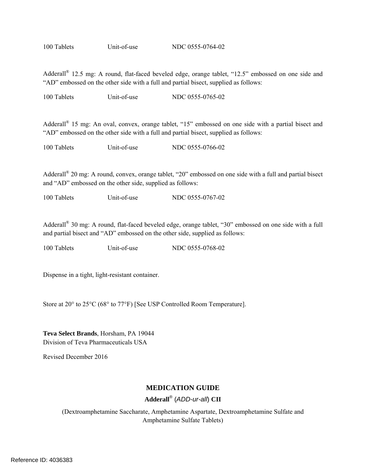```
100 Tablets
```
Adderall® 12.5 mg: A round, flat-faced beveled edge, orange tablet, "12.5" embossed on one side and "AD" embossed on the other side with a full and partial bisect, supplied as follows:

100 Tablets Unit-of-use NDC 0555-0765-02

Adderall<sup>®</sup> 15 mg: An oval, convex, orange tablet, "15" embossed on one side with a partial bisect and "AD" embossed on the other side with a full and partial bisect, supplied as follows:

100 Tablets Unit-of-use NDC 0555-0766-02

Adderall® 20 mg: A round, convex, orange tablet, "20" embossed on one side with a full and partial bisect and "AD" embossed on the other side, supplied as follows:

100 Tablets Unit-of-use NDC 0555-0767-02

Adderall® 30 mg: A round, flat-faced beveled edge, orange tablet, "30" embossed on one side with a full and partial bisect and "AD" embossed on the other side, supplied as follows:

100 Tablets  $11\nu$ t-of-use NDC 0555-0768-02

Dispense in a tight, light-resistant container.

Store at 20° to 25°C (68° to 77°F) [See USP Controlled Room Temperature].

**Teva Select Brands**, Horsham, PA 19044 Division of Teva Pharmaceuticals USA

Revised December 2016

## **MEDICATION GUIDE**

**Adderall**® (*ADD-ur-all*) **CII** 

(Dextroamphetamine Saccharate, Amphetamine Aspartate, Dextroamphetamine Sulfate and Amphetamine Sulfate Tablets)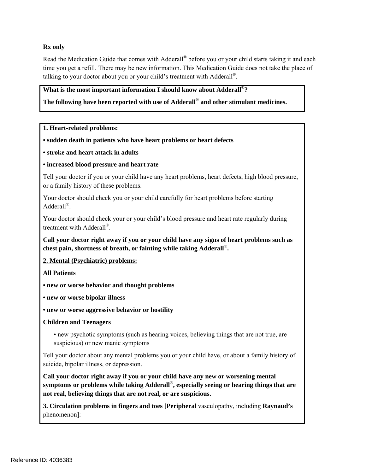## **Rx only**

Read the Medication Guide that comes with Adderall® before you or your child starts taking it and each time you get a refill. There may be new information. This Medication Guide does not take the place of talking to your doctor about you or your child's treatment with Adderall®.

# **What is the most important information I should know about Adderall**®**?**

**The following have been reported with use of Adderall**® **and other stimulant medicines.**

### **1. Heart-related problems:**

**• sudden death in patients who have heart problems or heart defects** 

- **stroke and heart attack in adults**
- **increased blood pressure and heart rate**

Tell your doctor if you or your child have any heart problems, heart defects, high blood pressure, or a family history of these problems.

Your doctor should check you or your child carefully for heart problems before starting Adderall®.

 Your doctor should check your or your child's blood pressure and heart rate regularly during treatment with Adderall®.

**Call your doctor right away if you or your child have any signs of heart problems such as chest pain, shortness of breath, or fainting while taking Adderall**® **.** 

## **2. Mental (Psychiatric) problems:**

**All Patients** 

**• new or worse behavior and thought problems** 

**• new or worse bipolar illness** 

**• new or worse aggressive behavior or hostility** 

## **Children and Teenagers**

• new psychotic symptoms (such as hearing voices, believing things that are not true, are suspicious) or new manic symptoms

Tell your doctor about any mental problems you or your child have, or about a family history of suicide, bipolar illness, or depression.

**Call your doctor right away if you or your child have any new or worsening mental symptoms or problems while taking Adderall**®**, especially seeing or hearing things that are not real, believing things that are not real, or are suspicious.** 

**3. Circulation problems in fingers and toes [Peripheral** vasculopathy, including **Raynaud's**  phenomenon]: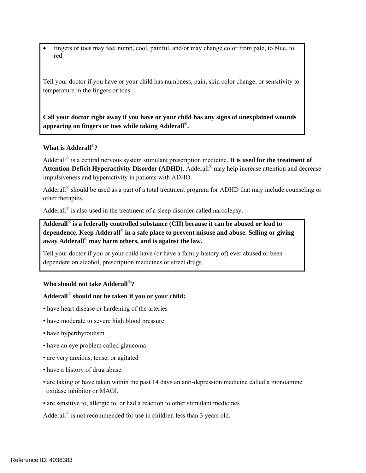fingers or toes may feel numb, cool, painful, and/or may change color from pale, to blue, to red

Tell your doctor if you have or your child has numbness, pain, skin color change, or sensitivity to temperature in the fingers or toes.

**Call your doctor right away if you have or your child has any signs of unexplained wounds appearing on fingers or toes while taking Adderall®.** 

### **What is Adderall**®**?**

Adderall® is a central nervous system stimulant prescription medicine. **It is used for the treatment of Attention-Deficit Hyperactivity Disorder (ADHD).** Adderall® may help increase attention and decrease impulsiveness and hyperactivity in patients with ADHD.

Adderall® should be used as a part of a total treatment program for ADHD that may include counseling or other therapies.

Adderall® is also used in the treatment of a sleep disorder called narcolepsy.

**Adderall**® **is a federally controlled substance (CII) because it can be abused or lead to dependence. Keep Adderall**® **in a safe place to prevent misuse and abuse. Selling or giving away Adderall**® **may harm others, and is against the law.** 

Tell your doctor if you or your child have (or have a family history of) ever abused or been dependent on alcohol, prescription medicines or street drugs.

## **Who should not take Adderall**®**?**

## **Adderall**® **should not be taken if you or your child:**

- have heart disease or hardening of the arteries
- have moderate to severe high blood pressure
- have hyperthyroidism
- have an eye problem called glaucoma
- are very anxious, tense, or agitated
- have a history of drug abuse
- are taking or have taken within the past 14 days an anti-depression medicine called a monoamine oxidase inhibitor or MAOI.
- are sensitive to, allergic to, or had a reaction to other stimulant medicines

Adderall<sup>®</sup> is not recommended for use in children less than 3 years old.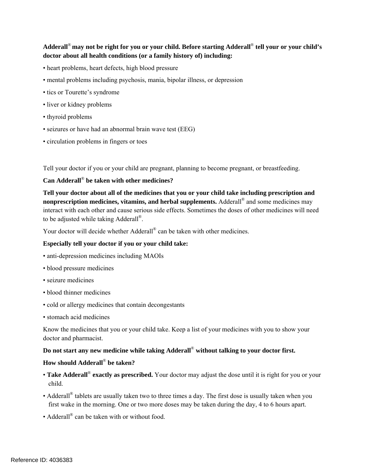**Adderall**® **may not be right for you or your child. Before starting Adderall**® **tell your or your child's doctor about all health conditions (or a family history of) including:** 

- heart problems, heart defects, high blood pressure
- mental problems including psychosis, mania, bipolar illness, or depression
- tics or Tourette's syndrome
- liver or kidney problems
- thyroid problems
- seizures or have had an abnormal brain wave test (EEG)
- circulation problems in fingers or toes

Tell your doctor if you or your child are pregnant, planning to become pregnant, or breastfeeding.

## **Can Adderall**® **be taken with other medicines?**

**Tell your doctor about all of the medicines that you or your child take including prescription and nonprescription medicines, vitamins, and herbal supplements.** Adderall<sup>®</sup> and some medicines may interact with each other and cause serious side effects. Sometimes the doses of other medicines will need to be adjusted while taking Adderall®.

Your doctor will decide whether Adderall<sup>®</sup> can be taken with other medicines.

## **Especially tell your doctor if you or your child take:**

- anti-depression medicines including MAOIs
- blood pressure medicines
- seizure medicines
- blood thinner medicines
- cold or allergy medicines that contain decongestants
- stomach acid medicines

Know the medicines that you or your child take. Keep a list of your medicines with you to show your doctor and pharmacist.

# **Do not start any new medicine while taking Adderall**® **without talking to your doctor first.**

## **How should Adderall**® **be taken?**

- **Take Adderall<sup>®</sup> exactly as prescribed.** Your doctor may adjust the dose until it is right for you or your child.
- Adderall<sup>®</sup> tablets are usually taken two to three times a day. The first dose is usually taken when you first wake in the morning. One or two more doses may be taken during the day, 4 to 6 hours apart.
- Adderall<sup>®</sup> can be taken with or without food.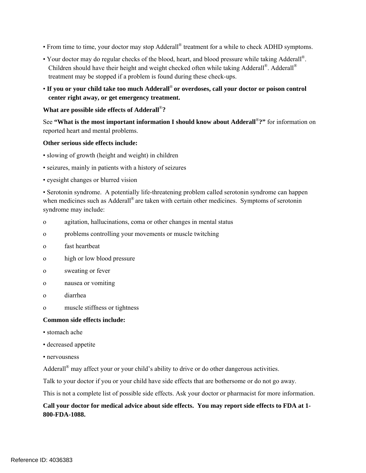- From time to time, your doctor may stop Adderall<sup>®</sup> treatment for a while to check ADHD symptoms.
- Your doctor may do regular checks of the blood, heart, and blood pressure while taking Adderall<sup>®</sup>. Children should have their height and weight checked often while taking Adderall®. Adderall® treatment may be stopped if a problem is found during these check-ups.
- **If you or your child take too much Adderall**® **or overdoses, call your doctor or poison control center right away, or get emergency treatment.**

# **What are possible side effects of Adderall**®**?**

See **"What is the most important information I should know about Adderall**®**?"** for information on reported heart and mental problems.

### **Other serious side effects include:**

- slowing of growth (height and weight) in children
- seizures, mainly in patients with a history of seizures
- eyesight changes or blurred vision

• Serotonin syndrome. A potentially life-threatening problem called serotonin syndrome can happen when medicines such as Adderall<sup>®</sup> are taken with certain other medicines. Symptoms of serotonin syndrome may include:

- o agitation, hallucinations, coma or other changes in mental status
- o problems controlling your movements or muscle twitching
- o fast heartbeat
- o high or low blood pressure
- o sweating or fever
- o nausea or vomiting
- o diarrhea
- o muscle stiffness or tightness

## **Common side effects include:**

- stomach ache
- decreased appetite
- nervousness

Adderall<sup>®</sup> may affect your or your child's ability to drive or do other dangerous activities.

Talk to your doctor if you or your child have side effects that are bothersome or do not go away.

This is not a complete list of possible side effects. Ask your doctor or pharmacist for more information.

# **Call your doctor for medical advice about side effects. You may report side effects to FDA at 1 800-FDA-1088.**